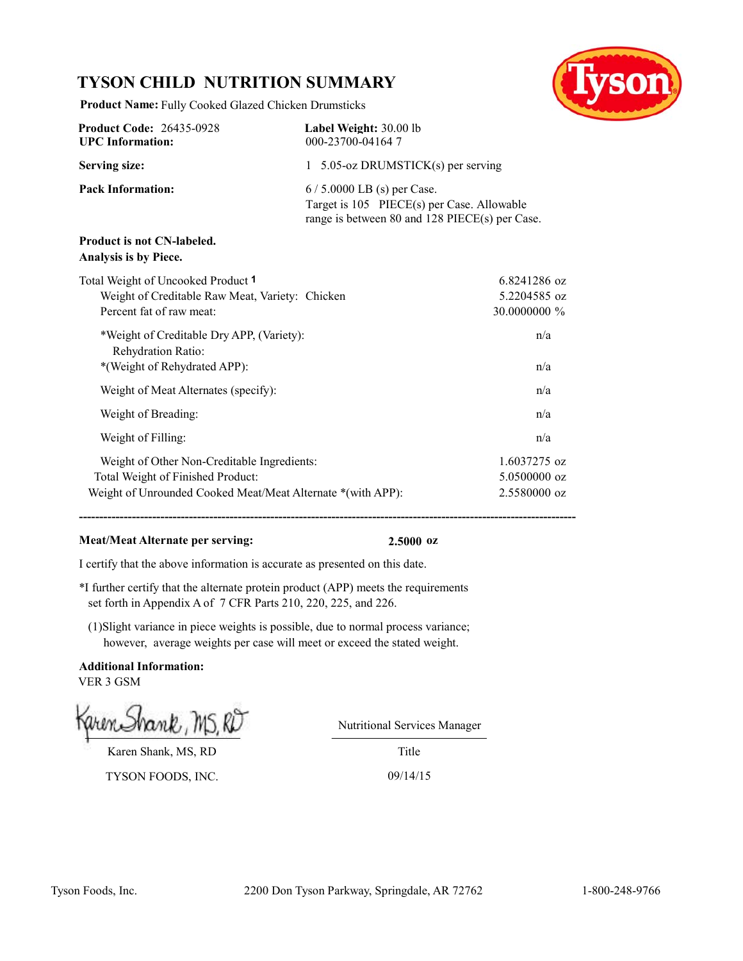# **TYSON CHILD NUTRITION SUMMARY**

**Product Name:** Fully Cooked Glazed Chicken Drumsticks



| <b>Product Code: 26435-0928</b><br><b>UPC</b> Information:                                                                                      | Label Weight: 30.00 lb<br>000-23700-041647                                                                                  |                                              |
|-------------------------------------------------------------------------------------------------------------------------------------------------|-----------------------------------------------------------------------------------------------------------------------------|----------------------------------------------|
| <b>Serving size:</b>                                                                                                                            | 1 5.05-oz DRUMSTICK(s) per serving                                                                                          |                                              |
| <b>Pack Information:</b>                                                                                                                        | $6/5.0000$ LB (s) per Case.<br>Target is 105 PIECE(s) per Case. Allowable<br>range is between 80 and 128 PIECE(s) per Case. |                                              |
| <b>Product is not CN-labeled.</b><br>Analysis is by Piece.                                                                                      |                                                                                                                             |                                              |
| Total Weight of Uncooked Product 1<br>Weight of Creditable Raw Meat, Variety: Chicken<br>Percent fat of raw meat:                               |                                                                                                                             | 6.8241286 oz<br>5.2204585 oz<br>30.0000000 % |
| *Weight of Creditable Dry APP, (Variety):<br>Rehydration Ratio:<br>*(Weight of Rehydrated APP):                                                 |                                                                                                                             | n/a<br>n/a                                   |
| Weight of Meat Alternates (specify):                                                                                                            |                                                                                                                             | n/a                                          |
| Weight of Breading:                                                                                                                             |                                                                                                                             | n/a                                          |
| Weight of Filling:                                                                                                                              |                                                                                                                             | n/a                                          |
| Weight of Other Non-Creditable Ingredients:<br>Total Weight of Finished Product:<br>Weight of Unrounded Cooked Meat/Meat Alternate *(with APP): |                                                                                                                             | 1.6037275 oz<br>5.0500000 oz<br>2.5580000 oz |

**--------------------------------------------------------------------------------------------------------------------------**

# **Meat/Meat Alternate per serving: 2.5000 oz**

I certify that the above information is accurate as presented on this date.

\*I further certify that the alternate protein product (APP) meets the requirements set forth in Appendix A of 7 CFR Parts 210, 220, 225, and 226.

(1)Slight variance in piece weights is possible, due to normal process variance; however, average weights per case will meet or exceed the stated weight.

**Additional Information:** VER 3 GSM

Karen Shank, MS, RD TYSON FOODS, INC. 09/14/15

Nutritional Services Manager

Title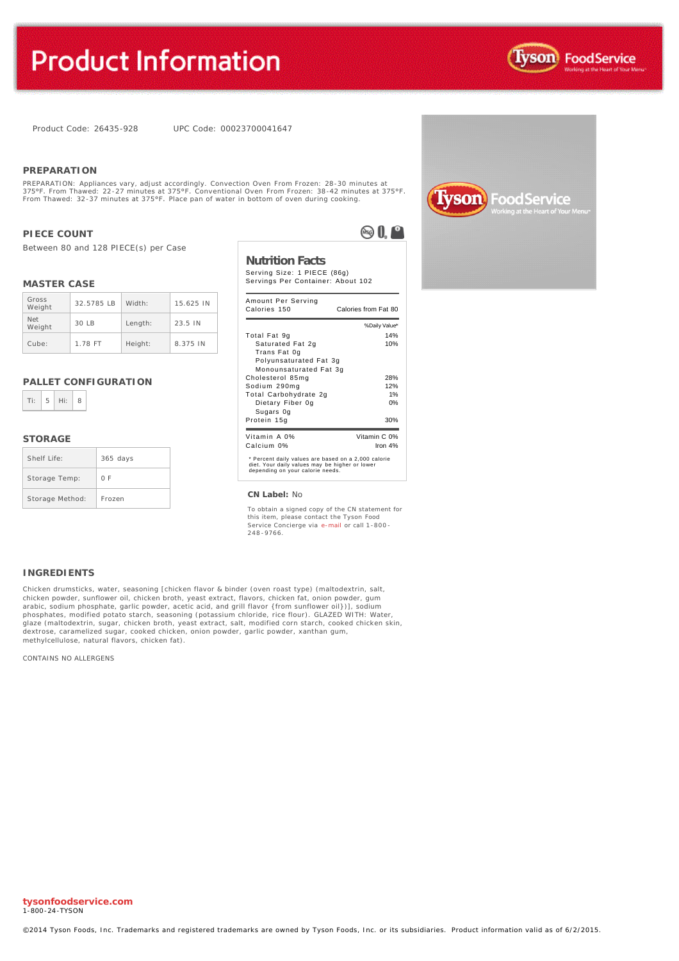Product Code: 26435-928 UPC Code: 00023700041647

### **PREPARATION**

PREPARATION: Appliances vary, adjust accordingly. Convection Oven From Frozen: 28-30 minutes at<br>375°F. From Thawed: 22-27 minutes at 375°F. Conventional Oven From Frozen: 38-42 minutes at 375°F.<br>From Thawed: 32-37 minutes

#### **PIECE COUNT**

Between 80 and 128 PIECE(s) per Case

#### **MASTER CASE**

| Gross<br>Weight      | 32.5785 IB | Width:  | 15.625 IN |
|----------------------|------------|---------|-----------|
| <b>Net</b><br>Weight | 30 LB      | Length: | 23.5 IN   |
| Cube:                | 1.78 FT    | Height: | 8.375 IN  |

#### **PALLET CONFIGURATION**



#### **STORAGE**

| Shelf Life:     | $365$ days |
|-----------------|------------|
| Storage Temp:   | 0 F        |
| Storage Method: | Frozen     |

# **Nutrition Facts**

Serving Size: 1 PIECE (86g) Servings Per Container: About 102

| Amount Per Serving<br>Calories 150                                                                                                        | Calories from Fat 80 |
|-------------------------------------------------------------------------------------------------------------------------------------------|----------------------|
|                                                                                                                                           | % Daily Value*       |
| Total Fat 9g                                                                                                                              | 14%                  |
| Saturated Fat 2g                                                                                                                          | 10%                  |
| Trans Fat 0g                                                                                                                              |                      |
| Polyunsaturated Fat 3g<br>Monounsaturated Fat 3g                                                                                          |                      |
| Cholesterol 85mg                                                                                                                          | 28%                  |
| Sodium 290mg                                                                                                                              | 12%                  |
| Total Carbohydrate 2g                                                                                                                     | 1%                   |
| Dietary Fiber 0g<br>Sugars Og                                                                                                             | 0%                   |
| Protein 15g                                                                                                                               | 30%                  |
| Vitamin A 0%                                                                                                                              | Vitamin C 0%         |
| Calcium 0%                                                                                                                                | Iron $4%$            |
| * Percent daily values are based on a 2,000 calorie<br>diet. Your daily values may be higher or lower<br>depending on your calorie needs. |                      |

#### **CN Label: No**

To obtain a signed copy of the CN statement for this item, please contact the Tyson Food Service Concierge via [e-mail](mailto:fscomments@tyson.com) or call 1-800 - 248 -9766.

#### **INGREDIENTS**

Chicken drumsticks, water, seasoning [chicken flavor & binder (oven roast type) (maltodextrin, salt, chicken powder, sunflower oil, chicken broth, yeast extract, flavors, chicken fat, onion powder, gum arabic, sodium phosphate, garlic powder, acetic acid, and grill flavor {from sunflower oil})], sodium phosphates, modified potato starch, seasoning (potassium chloride, rice flour). GLAZED WITH: Water glaze (maltodextrin, sugar, chicken broth, yeast extract, salt, modified corn starch, cooked chicken skin, dextrose, caramelized sugar, cooked chicken, onion powder, garlic powder, xanthan gum, methylcellulose, natural flavors, chicken fat).

CONTAINS NO ALLERGENS





**tysonfoodservice.com** 1-800-24-TYSON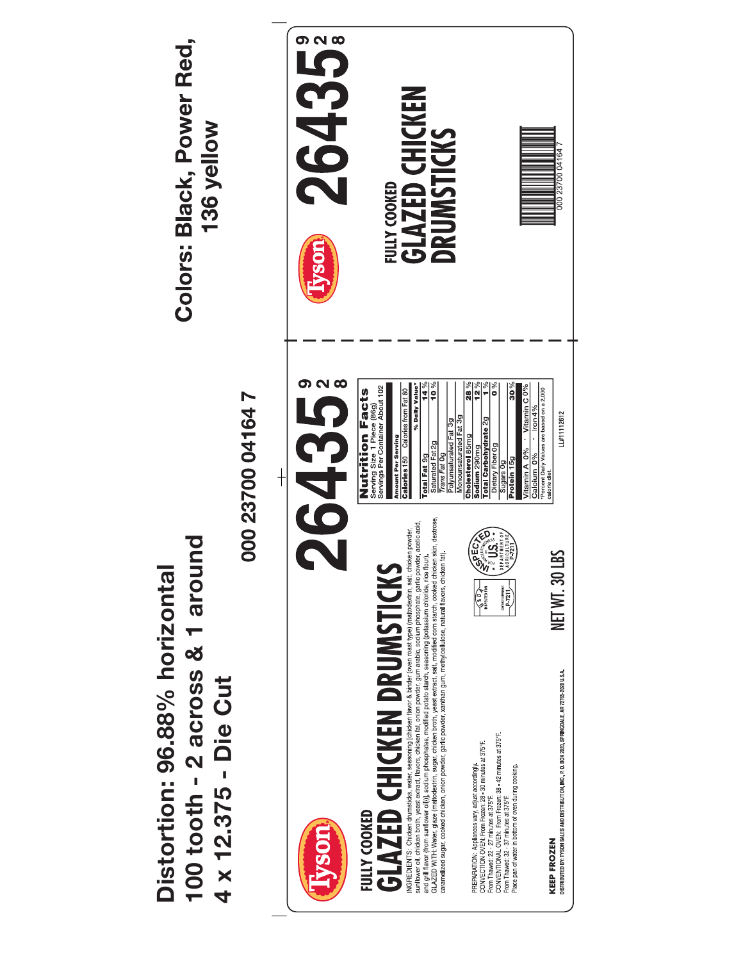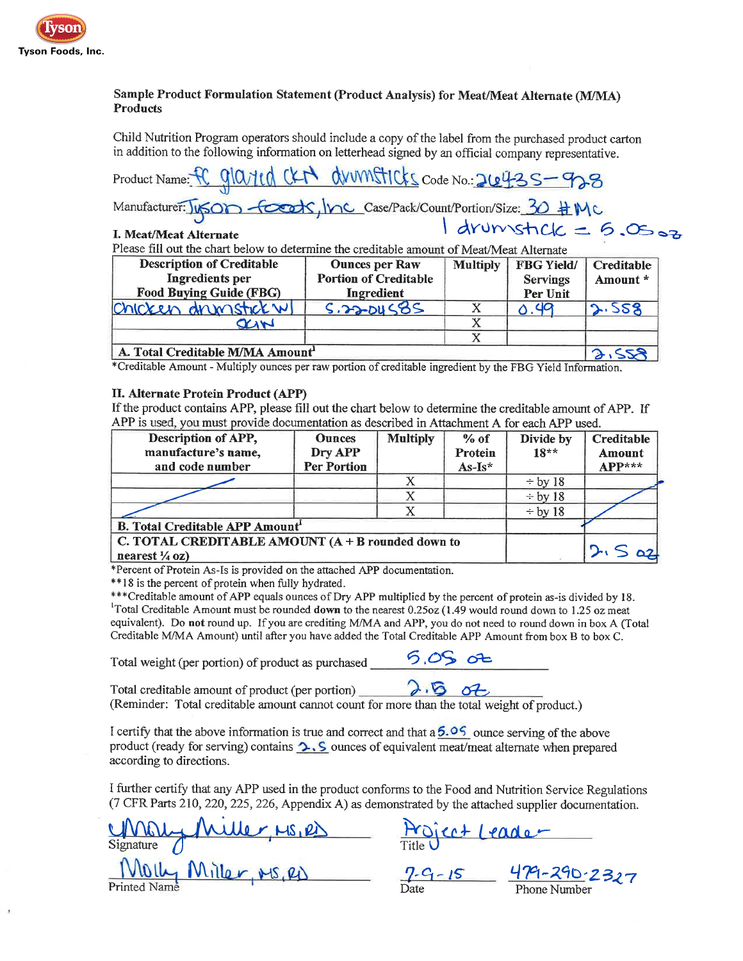

# Sample Product Formulation Statement (Product Analysis) for Meat/Meat Alternate (M/MA) **Products**

Child Nutrition Program operators should include a copy of the label from the purchased product carton in addition to the following information on letterhead signed by an official company representative.

Product Name: FC glaypool (KH dVVMStICKS Code No.: 20435-928<br>Manufacturer: Juson Goods, Inc Case/Pack/Count/Portion/Size: 30 #MC

Please fill out the chart below to determine the creditable amount of Meat/Meat Alternate

| <b>Description of Creditable</b> | <b>Ounces per Raw</b>        | <b>Multiply</b> | <b>FBG Yield/</b> | Creditable |
|----------------------------------|------------------------------|-----------------|-------------------|------------|
| Ingredients per                  | <b>Portion of Creditable</b> |                 | <b>Servings</b>   | Amount *   |
| <b>Food Buying Guide (FBG)</b>   | Ingredient                   |                 | Per Unit          |            |
| Chicken drunstick w              | $5.33 - D4585$               |                 | <b>C</b>          | 2.558      |
| an                               |                              |                 |                   |            |
|                                  |                              |                 |                   |            |
| A. Total Creditable M/MA Amount  |                              |                 |                   |            |

\*Creditable Amount - Multiply ounces per raw portion of creditable ingredient by the FBG Yield Information.

# II. Alternate Protein Product (APP)

If the product contains APP, please fill out the chart below to determine the creditable amount of APP. If APP is used, you must provide documentation as described in Attachment A for each APP used.

| Description of APP,<br>manufacture's name,<br>and code number                    | <b>Ounces</b><br>Dry APP<br><b>Per Portion</b> | <b>Multiply</b> | % of<br>Protein<br>$As-Is*$ | Divide by<br>$18**$ | Creditable<br><b>Amount</b><br>$APP***$ |
|----------------------------------------------------------------------------------|------------------------------------------------|-----------------|-----------------------------|---------------------|-----------------------------------------|
|                                                                                  |                                                |                 |                             | $-$ by 18           |                                         |
|                                                                                  |                                                |                 |                             | $\div$ by 18        |                                         |
|                                                                                  |                                                | X               |                             | $\div$ by 18        |                                         |
| <b>B. Total Creditable APP Amount'</b>                                           |                                                |                 |                             |                     |                                         |
| C. TOTAL CREDITABLE AMOUNT $(A + B$ rounded down to<br>nearest $\frac{1}{4}$ oz) |                                                |                 |                             |                     |                                         |

\*Percent of Protein As-Is is provided on the attached APP documentation.

\*\*18 is the percent of protein when fully hydrated.

\*\*\* Creditable amount of APP equals ounces of Dry APP multiplied by the percent of protein as-is divided by 18. Total Creditable Amount must be rounded down to the nearest 0.25oz (1.49 would round down to 1.25 oz meat equivalent). Do not round up. If you are crediting M/MA and APP, you do not need to round down in box A (Total Creditable M/MA Amount) until after you have added the Total Creditable APP Amount from box B to box C.

Total weight (per portion) of product as purchased  $\sim$  5.05 ob

Total creditable amount of product (per portion)<br>(Reminder: Total creditable amount cannot count for more than the total weight of product.)

I certify that the above information is true and correct and that a 5.05 ounce serving of the above product (ready for serving) contains  $\sum S$  ounces of equivalent meat/meat alternate when prepared according to directions.

I further certify that any APP used in the product conforms to the Food and Nutrition Service Regulations (7 CFR Parts 210, 220, 225, 226, Appendix A) as demonstrated by the attached supplier documentation.

Wally Miller, MS, RD File V Code -<br>Printed Name Miller, MS, RD 7-9-15 479-290-2327